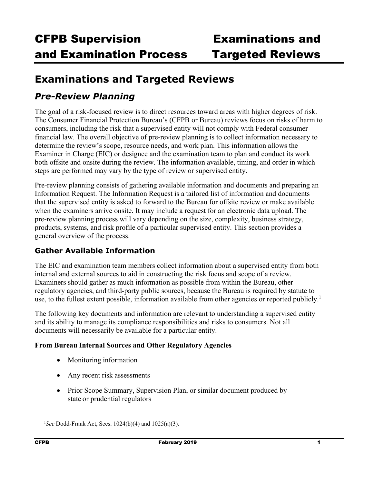## **Examinations and Targeted Reviews**

## *Pre-Review Planning*

The goal of a risk-focused review is to direct resources toward areas with higher degrees of risk. The Consumer Financial Protection Bureau's (CFPB or Bureau) reviews focus on risks of harm to consumers, including the risk that a supervised entity will not comply with Federal consumer financial law. The overall objective of pre-review planning is to collect information necessary to determine the review's scope, resource needs, and work plan. This information allows the Examiner in Charge (EIC) or designee and the examination team to plan and conduct its work both offsite and onsite during the review. The information available, timing, and order in which steps are performed may vary by the type of review or supervised entity.

Pre-review planning consists of gathering available information and documents and preparing an Information Request. The Information Request is a tailored list of information and documents that the supervised entity is asked to forward to the Bureau for offsite review or make available when the examiners arrive onsite. It may include a request for an electronic data upload. The pre-review planning process will vary depending on the size, complexity, business strategy, products, systems, and risk profile of a particular supervised entity. This section provides a general overview of the process.

### **Gather Available Information**

The EIC and examination team members collect information about a supervised entity from both internal and external sources to aid in constructing the risk focus and scope of a review. Examiners should gather as much information as possible from within the Bureau, other regulatory agencies, and third-party public sources, because the Bureau is required by statute to use, to the fullest extent possible, information available from other agencies or reported publicly.<sup>1</sup>

The following key documents and information are relevant to understanding a supervised entity and its ability to manage its compliance responsibilities and risks to consumers. Not all documents will necessarily be available for a particular entity.

### **From Bureau Internal Sources and Other Regulatory Agencies**

- Monitoring information
- Any recent risk assessments
- Prior Scope Summary, Supervision Plan, or similar document produced by state or prudential regulators

 $\frac{1}{1}$ *See* Dodd-Frank Act, Secs. 1024(b)(4) and 1025(a)(3).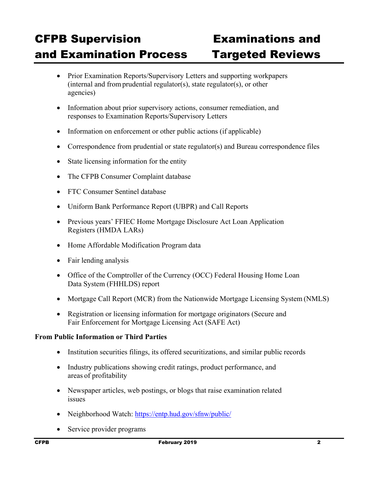- Prior Examination Reports/Supervisory Letters and supporting workpapers (internal and from prudential regulator(s), state regulator(s), or other agencies)
- Information about prior supervisory actions, consumer remediation, and responses to Examination Reports/Supervisory Letters
- Information on enforcement or other public actions (if applicable)
- Correspondence from prudential or state regulator(s) and Bureau correspondence files
- State licensing information for the entity
- The CFPB Consumer Complaint database
- FTC Consumer Sentinel database
- Uniform Bank Performance Report (UBPR) and Call Reports
- Previous years' FFIEC Home Mortgage Disclosure Act Loan Application Registers (HMDA LARs)
- Home Affordable Modification Program data
- Fair lending analysis
- Office of the Comptroller of the Currency (OCC) Federal Housing Home Loan Data System (FHHLDS) report
- Mortgage Call Report (MCR) from the Nationwide Mortgage Licensing System (NMLS)
- Registration or licensing information for mortgage originators (Secure and Fair Enforcement for Mortgage Licensing Act (SAFE Act)

### **From Public Information or Third Parties**

- Institution securities filings, its offered securitizations, and similar public records
- Industry publications showing credit ratings, product performance, and areas of profitability
- Newspaper articles, web postings, or blogs that raise examination related issues
- Neighborhood Watch: https://entp.hud.gov/sfnw/public/
- Service provider programs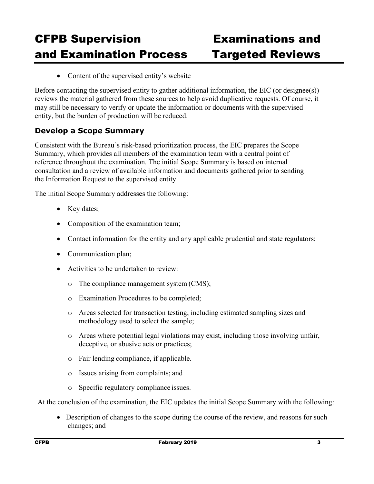• Content of the supervised entity's website

Before contacting the supervised entity to gather additional information, the EIC (or designee(s)) reviews the material gathered from these sources to help avoid duplicative requests. Of course, it may still be necessary to verify or update the information or documents with the supervised entity, but the burden of production will be reduced.

### **Develop a Scope Summary**

Consistent with the Bureau's risk-based prioritization process, the EIC prepares the Scope Summary, which provides all members of the examination team with a central point of reference throughout the examination. The initial Scope Summary is based on internal consultation and a review of available information and documents gathered prior to sending the Information Request to the supervised entity.

The initial Scope Summary addresses the following:

- Key dates;
- Composition of the examination team;
- Contact information for the entity and any applicable prudential and state regulators;
- Communication plan;
- Activities to be undertaken to review:
	- o The compliance management system (CMS);
	- o Examination Procedures to be completed;
	- o Areas selected for transaction testing, including estimated sampling sizes and methodology used to select the sample;
	- o Areas where potential legal violations may exist, including those involving unfair, deceptive, or abusive acts or practices;
	- o Fair lending compliance, if applicable.
	- o Issues arising from complaints; and
	- o Specific regulatory compliance issues.

At the conclusion of the examination, the EIC updates the initial Scope Summary with the following:

 Description of changes to the scope during the course of the review, and reasons for such changes; and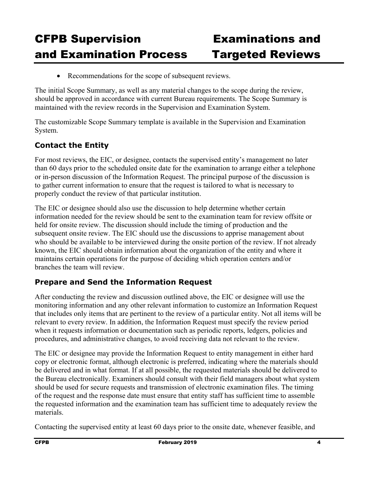• Recommendations for the scope of subsequent reviews.

The initial Scope Summary, as well as any material changes to the scope during the review, should be approved in accordance with current Bureau requirements. The Scope Summary is maintained with the review records in the Supervision and Examination System.

The customizable Scope Summary template is available in the Supervision and Examination System.

### **Contact the Entity**

For most reviews, the EIC, or designee, contacts the supervised entity's management no later than 60 days prior to the scheduled onsite date for the examination to arrange either a telephone or in-person discussion of the Information Request. The principal purpose of the discussion is to gather current information to ensure that the request is tailored to what is necessary to properly conduct the review of that particular institution.

The EIC or designee should also use the discussion to help determine whether certain information needed for the review should be sent to the examination team for review offsite or held for onsite review. The discussion should include the timing of production and the subsequent onsite review. The EIC should use the discussions to apprise management about who should be available to be interviewed during the onsite portion of the review. If not already known, the EIC should obtain information about the organization of the entity and where it maintains certain operations for the purpose of deciding which operation centers and/or branches the team will review.

### **Prepare and Send the Information Request**

After conducting the review and discussion outlined above, the EIC or designee will use the monitoring information and any other relevant information to customize an Information Request that includes only items that are pertinent to the review of a particular entity. Not all items will be relevant to every review. In addition, the Information Request must specify the review period when it requests information or documentation such as periodic reports, ledgers, policies and procedures, and administrative changes, to avoid receiving data not relevant to the review.

The EIC or designee may provide the Information Request to entity management in either hard copy or electronic format, although electronic is preferred, indicating where the materials should be delivered and in what format. If at all possible, the requested materials should be delivered to the Bureau electronically. Examiners should consult with their field managers about what system should be used for secure requests and transmission of electronic examination files. The timing of the request and the response date must ensure that entity staff has sufficient time to assemble the requested information and the examination team has sufficient time to adequately review the materials.

Contacting the supervised entity at least 60 days prior to the onsite date, whenever feasible, and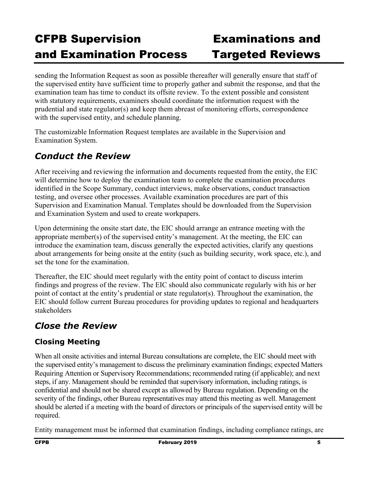sending the Information Request as soon as possible thereafter will generally ensure that staff of the supervised entity have sufficient time to properly gather and submit the response, and that the examination team has time to conduct its offsite review. To the extent possible and consistent with statutory requirements, examiners should coordinate the information request with the prudential and state regulator(s) and keep them abreast of monitoring efforts, correspondence with the supervised entity, and schedule planning.

The customizable Information Request templates are available in the Supervision and Examination System.

## *Conduct the Review*

After receiving and reviewing the information and documents requested from the entity, the EIC will determine how to deploy the examination team to complete the examination procedures identified in the Scope Summary, conduct interviews, make observations, conduct transaction testing, and oversee other processes. Available examination procedures are part of this Supervision and Examination Manual. Templates should be downloaded from the Supervision and Examination System and used to create workpapers.

Upon determining the onsite start date, the EIC should arrange an entrance meeting with the appropriate member(s) of the supervised entity's management. At the meeting, the EIC can introduce the examination team, discuss generally the expected activities, clarify any questions about arrangements for being onsite at the entity (such as building security, work space, etc.), and set the tone for the examination.

Thereafter, the EIC should meet regularly with the entity point of contact to discuss interim findings and progress of the review. The EIC should also communicate regularly with his or her point of contact at the entity's prudential or state regulator(s). Throughout the examination, the EIC should follow current Bureau procedures for providing updates to regional and headquarters stakeholders

## *Close the Review*

## **Closing Meeting**

When all onsite activities and internal Bureau consultations are complete, the EIC should meet with the supervised entity's management to discuss the preliminary examination findings; expected Matters Requiring Attention or Supervisory Recommendations; recommended rating (if applicable); and next steps, if any. Management should be reminded that supervisory information, including ratings, is confidential and should not be shared except as allowed by Bureau regulation. Depending on the severity of the findings, other Bureau representatives may attend this meeting as well. Management should be alerted if a meeting with the board of directors or principals of the supervised entity will be required.

Entity management must be informed that examination findings, including compliance ratings, are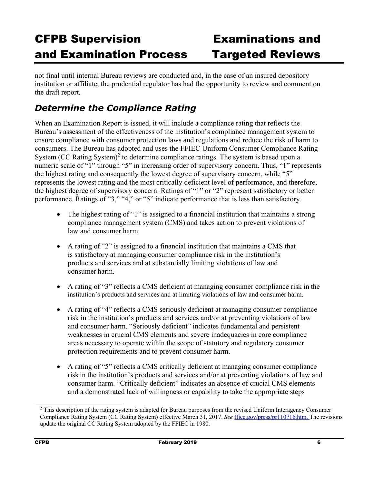not final until internal Bureau reviews are conducted and, in the case of an insured depository institution or affiliate, the prudential regulator has had the opportunity to review and comment on the draft report.

## *Determine the Compliance Rating*

When an Examination Report is issued, it will include a compliance rating that reflects the Bureau's assessment of the effectiveness of the institution's compliance management system to ensure compliance with consumer protection laws and regulations and reduce the risk of harm to consumers. The Bureau has adopted and uses the FFIEC Uniform Consumer Compliance Rating System (CC Rating System)<sup>2</sup> to determine compliance ratings. The system is based upon a numeric scale of "1" through "5" in increasing order of supervisory concern. Thus, "1" represents the highest rating and consequently the lowest degree of supervisory concern, while "5" represents the lowest rating and the most critically deficient level of performance, and therefore, the highest degree of supervisory concern. Ratings of "1" or "2" represent satisfactory or better performance. Ratings of "3," "4," or "5" indicate performance that is less than satisfactory.

- The highest rating of "1" is assigned to a financial institution that maintains a strong compliance management system (CMS) and takes action to prevent violations of law and consumer harm.
- A rating of "2" is assigned to a financial institution that maintains a CMS that is satisfactory at managing consumer compliance risk in the institution's products and services and at substantially limiting violations of law and consumer harm.
- A rating of "3" reflects a CMS deficient at managing consumer compliance risk in the institution's products and services and at limiting violations of law and consumer harm.
- A rating of "4" reflects a CMS seriously deficient at managing consumer compliance risk in the institution's products and services and/or at preventing violations of law and consumer harm. "Seriously deficient" indicates fundamental and persistent weaknesses in crucial CMS elements and severe inadequacies in core compliance areas necessary to operate within the scope of statutory and regulatory consumer protection requirements and to prevent consumer harm.
- A rating of "5" reflects a CMS critically deficient at managing consumer compliance risk in the institution's products and services and/or at preventing violations of law and consumer harm. "Critically deficient" indicates an absence of crucial CMS elements and a demonstrated lack of willingness or capability to take the appropriate steps

<sup>&</sup>lt;sup>2</sup> This description of the rating system is adapted for Bureau purposes from the revised Uniform Interagency Consumer Compliance Rating System (CC Rating System) effective March 31, 2017. *See* ffiec.gov/press/pr110716.htm. The revisions update the original CC Rating System adopted by the FFIEC in 1980.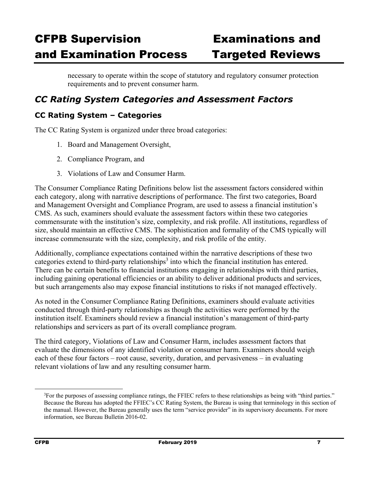necessary to operate within the scope of statutory and regulatory consumer protection requirements and to prevent consumer harm.

## *CC Rating System Categories and Assessment Factors*

### **CC Rating System – Categories**

The CC Rating System is organized under three broad categories:

- 1. Board and Management Oversight,
- 2. Compliance Program, and
- 3. Violations of Law and Consumer Harm.

The Consumer Compliance Rating Definitions below list the assessment factors considered within each category, along with narrative descriptions of performance. The first two categories, Board and Management Oversight and Compliance Program, are used to assess a financial institution's CMS. As such, examiners should evaluate the assessment factors within these two categories commensurate with the institution's size, complexity, and risk profile. All institutions, regardless of size, should maintain an effective CMS. The sophistication and formality of the CMS typically will increase commensurate with the size, complexity, and risk profile of the entity.

Additionally, compliance expectations contained within the narrative descriptions of these two categories extend to third-party relationships<sup>3</sup> into which the financial institution has entered. There can be certain benefits to financial institutions engaging in relationships with third parties, including gaining operational efficiencies or an ability to deliver additional products and services, but such arrangements also may expose financial institutions to risks if not managed effectively.

As noted in the Consumer Compliance Rating Definitions, examiners should evaluate activities conducted through third-party relationships as though the activities were performed by the institution itself. Examiners should review a financial institution's management of third-party relationships and servicers as part of its overall compliance program.

The third category, Violations of Law and Consumer Harm, includes assessment factors that evaluate the dimensions of any identified violation or consumer harm. Examiners should weigh each of these four factors – root cause, severity, duration, and pervasiveness – in evaluating relevant violations of law and any resulting consumer harm.

 <sup>3</sup> <sup>3</sup>For the purposes of assessing compliance ratings, the FFIEC refers to these relationships as being with "third parties." Because the Bureau has adopted the FFIEC's CC Rating System, the Bureau is using that terminology in this section of the manual. However, the Bureau generally uses the term "service provider" in its supervisory documents. For more information, see Bureau Bulletin 2016-02.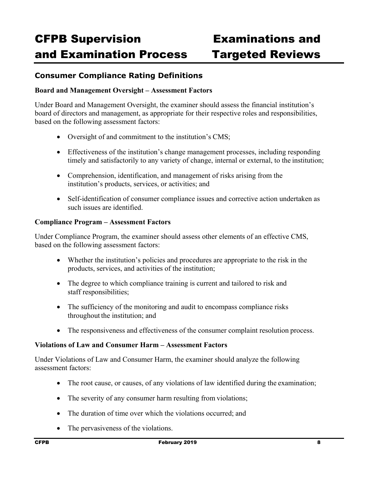### **Consumer Compliance Rating Definitions**

### **Board and Management Oversight – Assessment Factors**

Under Board and Management Oversight, the examiner should assess the financial institution's board of directors and management, as appropriate for their respective roles and responsibilities, based on the following assessment factors:

- Oversight of and commitment to the institution's CMS;
- Effectiveness of the institution's change management processes, including responding timely and satisfactorily to any variety of change, internal or external, to the institution;
- Comprehension, identification, and management of risks arising from the institution's products, services, or activities; and
- Self-identification of consumer compliance issues and corrective action undertaken as such issues are identified.

### **Compliance Program – Assessment Factors**

Under Compliance Program, the examiner should assess other elements of an effective CMS, based on the following assessment factors:

- Whether the institution's policies and procedures are appropriate to the risk in the products, services, and activities of the institution;
- The degree to which compliance training is current and tailored to risk and staff responsibilities;
- The sufficiency of the monitoring and audit to encompass compliance risks throughout the institution; and
- The responsiveness and effectiveness of the consumer complaint resolution process.

### **Violations of Law and Consumer Harm – Assessment Factors**

Under Violations of Law and Consumer Harm, the examiner should analyze the following assessment factors:

- The root cause, or causes, of any violations of law identified during the examination;
- The severity of any consumer harm resulting from violations;
- The duration of time over which the violations occurred; and
- The pervasiveness of the violations.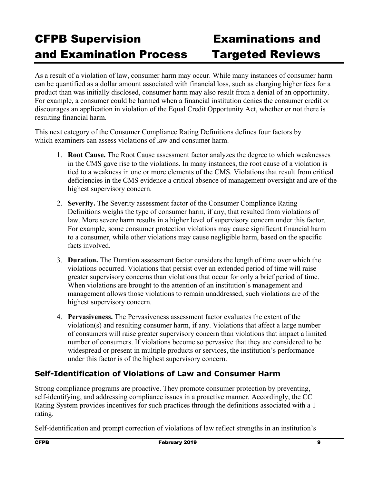As a result of a violation of law, consumer harm may occur. While many instances of consumer harm can be quantified as a dollar amount associated with financial loss, such as charging higher fees for a product than was initially disclosed, consumer harm may also result from a denial of an opportunity. For example, a consumer could be harmed when a financial institution denies the consumer credit or discourages an application in violation of the Equal Credit Opportunity Act, whether or not there is resulting financial harm.

This next category of the Consumer Compliance Rating Definitions defines four factors by which examiners can assess violations of law and consumer harm.

- 1. **Root Cause.** The Root Cause assessment factor analyzes the degree to which weaknesses in the CMS gave rise to the violations. In many instances, the root cause of a violation is tied to a weakness in one or more elements of the CMS. Violations that result from critical deficiencies in the CMS evidence a critical absence of management oversight and are of the highest supervisory concern.
- 2. **Severity.** The Severity assessment factor of the Consumer Compliance Rating Definitions weighs the type of consumer harm, if any, that resulted from violations of law. More severe harm results in a higher level of supervisory concern under this factor. For example, some consumer protection violations may cause significant financial harm to a consumer, while other violations may cause negligible harm, based on the specific facts involved.
- 3. **Duration.** The Duration assessment factor considers the length of time over which the violations occurred. Violations that persist over an extended period of time will raise greater supervisory concerns than violations that occur for only a brief period of time. When violations are brought to the attention of an institution's management and management allows those violations to remain unaddressed, such violations are of the highest supervisory concern.
- 4. **Pervasiveness.** The Pervasiveness assessment factor evaluates the extent of the violation(s) and resulting consumer harm, if any. Violations that affect a large number of consumers will raise greater supervisory concern than violations that impact a limited number of consumers. If violations become so pervasive that they are considered to be widespread or present in multiple products or services, the institution's performance under this factor is of the highest supervisory concern.

### **Self-Identification of Violations of Law and Consumer Harm**

Strong compliance programs are proactive. They promote consumer protection by preventing, self-identifying, and addressing compliance issues in a proactive manner. Accordingly, the CC Rating System provides incentives for such practices through the definitions associated with a 1 rating.

Self-identification and prompt correction of violations of law reflect strengths in an institution's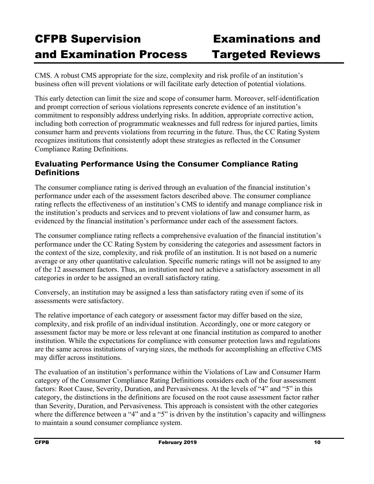CMS. A robust CMS appropriate for the size, complexity and risk profile of an institution's business often will prevent violations or will facilitate early detection of potential violations.

This early detection can limit the size and scope of consumer harm. Moreover, self-identification and prompt correction of serious violations represents concrete evidence of an institution's commitment to responsibly address underlying risks. In addition, appropriate corrective action, including both correction of programmatic weaknesses and full redress for injured parties, limits consumer harm and prevents violations from recurring in the future. Thus, the CC Rating System recognizes institutions that consistently adopt these strategies as reflected in the Consumer Compliance Rating Definitions.

### **Evaluating Performance Using the Consumer Compliance Rating Definitions**

The consumer compliance rating is derived through an evaluation of the financial institution's performance under each of the assessment factors described above. The consumer compliance rating reflects the effectiveness of an institution's CMS to identify and manage compliance risk in the institution's products and services and to prevent violations of law and consumer harm, as evidenced by the financial institution's performance under each of the assessment factors.

The consumer compliance rating reflects a comprehensive evaluation of the financial institution's performance under the CC Rating System by considering the categories and assessment factors in the context of the size, complexity, and risk profile of an institution. It is not based on a numeric average or any other quantitative calculation. Specific numeric ratings will not be assigned to any of the 12 assessment factors. Thus, an institution need not achieve a satisfactory assessment in all categories in order to be assigned an overall satisfactory rating.

Conversely, an institution may be assigned a less than satisfactory rating even if some of its assessments were satisfactory.

The relative importance of each category or assessment factor may differ based on the size, complexity, and risk profile of an individual institution. Accordingly, one or more category or assessment factor may be more or less relevant at one financial institution as compared to another institution. While the expectations for compliance with consumer protection laws and regulations are the same across institutions of varying sizes, the methods for accomplishing an effective CMS may differ across institutions.

The evaluation of an institution's performance within the Violations of Law and Consumer Harm category of the Consumer Compliance Rating Definitions considers each of the four assessment factors: Root Cause, Severity, Duration, and Pervasiveness. At the levels of "4" and "5" in this category, the distinctions in the definitions are focused on the root cause assessment factor rather than Severity, Duration, and Pervasiveness. This approach is consistent with the other categories where the difference between a "4" and a "5" is driven by the institution's capacity and willingness to maintain a sound consumer compliance system.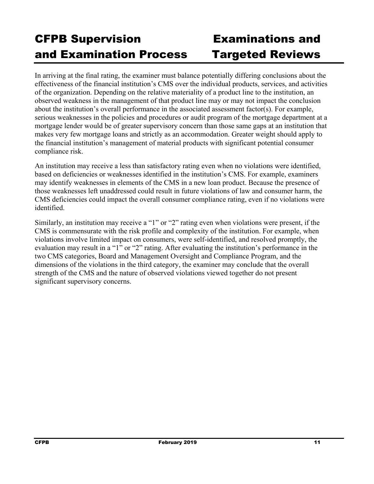In arriving at the final rating, the examiner must balance potentially differing conclusions about the effectiveness of the financial institution's CMS over the individual products, services, and activities of the organization. Depending on the relative materiality of a product line to the institution, an observed weakness in the management of that product line may or may not impact the conclusion about the institution's overall performance in the associated assessment factor(s). For example, serious weaknesses in the policies and procedures or audit program of the mortgage department at a mortgage lender would be of greater supervisory concern than those same gaps at an institution that makes very few mortgage loans and strictly as an accommodation. Greater weight should apply to the financial institution's management of material products with significant potential consumer compliance risk.

An institution may receive a less than satisfactory rating even when no violations were identified, based on deficiencies or weaknesses identified in the institution's CMS. For example, examiners may identify weaknesses in elements of the CMS in a new loan product. Because the presence of those weaknesses left unaddressed could result in future violations of law and consumer harm, the CMS deficiencies could impact the overall consumer compliance rating, even if no violations were identified.

Similarly, an institution may receive a "1" or "2" rating even when violations were present, if the CMS is commensurate with the risk profile and complexity of the institution. For example, when violations involve limited impact on consumers, were self-identified, and resolved promptly, the evaluation may result in a "1" or "2" rating. After evaluating the institution's performance in the two CMS categories, Board and Management Oversight and Compliance Program, and the dimensions of the violations in the third category, the examiner may conclude that the overall strength of the CMS and the nature of observed violations viewed together do not present significant supervisory concerns.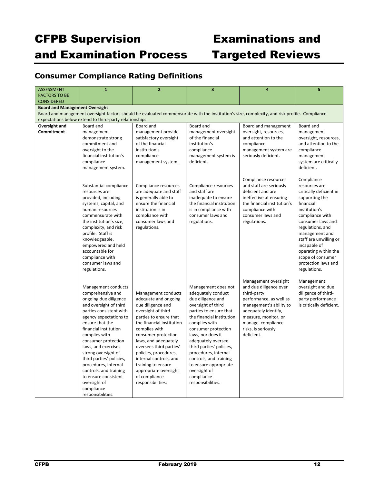### **Consumer Compliance Rating Definitions**

| <b>ASSESSMENT</b>                                                                                                                             | $\mathbf{1}$                                                                                                                                                                                                                                                                                                                                                                                                                                | $\overline{2}$                                                                                                                                                                                                                                                                                                                                                                   | $\overline{\mathbf{3}}$                                                                                                                                                                                                                                                                                                                                                                  | $\overline{4}$                                                                                                                                                                                                                | 5                                                                                                                                                                                                                                                                                                                  |  |  |
|-----------------------------------------------------------------------------------------------------------------------------------------------|---------------------------------------------------------------------------------------------------------------------------------------------------------------------------------------------------------------------------------------------------------------------------------------------------------------------------------------------------------------------------------------------------------------------------------------------|----------------------------------------------------------------------------------------------------------------------------------------------------------------------------------------------------------------------------------------------------------------------------------------------------------------------------------------------------------------------------------|------------------------------------------------------------------------------------------------------------------------------------------------------------------------------------------------------------------------------------------------------------------------------------------------------------------------------------------------------------------------------------------|-------------------------------------------------------------------------------------------------------------------------------------------------------------------------------------------------------------------------------|--------------------------------------------------------------------------------------------------------------------------------------------------------------------------------------------------------------------------------------------------------------------------------------------------------------------|--|--|
| <b>FACTORS TO BE</b>                                                                                                                          |                                                                                                                                                                                                                                                                                                                                                                                                                                             |                                                                                                                                                                                                                                                                                                                                                                                  |                                                                                                                                                                                                                                                                                                                                                                                          |                                                                                                                                                                                                                               |                                                                                                                                                                                                                                                                                                                    |  |  |
| <b>CONSIDERED</b>                                                                                                                             |                                                                                                                                                                                                                                                                                                                                                                                                                                             |                                                                                                                                                                                                                                                                                                                                                                                  |                                                                                                                                                                                                                                                                                                                                                                                          |                                                                                                                                                                                                                               |                                                                                                                                                                                                                                                                                                                    |  |  |
| <b>Board and Management Oversight</b>                                                                                                         |                                                                                                                                                                                                                                                                                                                                                                                                                                             |                                                                                                                                                                                                                                                                                                                                                                                  |                                                                                                                                                                                                                                                                                                                                                                                          |                                                                                                                                                                                                                               |                                                                                                                                                                                                                                                                                                                    |  |  |
| Board and management oversight factors should be evaluated commensurate with the institution's size, complexity, and risk profile. Compliance |                                                                                                                                                                                                                                                                                                                                                                                                                                             |                                                                                                                                                                                                                                                                                                                                                                                  |                                                                                                                                                                                                                                                                                                                                                                                          |                                                                                                                                                                                                                               |                                                                                                                                                                                                                                                                                                                    |  |  |
| expectations below extend to third-party relationships.                                                                                       |                                                                                                                                                                                                                                                                                                                                                                                                                                             |                                                                                                                                                                                                                                                                                                                                                                                  |                                                                                                                                                                                                                                                                                                                                                                                          |                                                                                                                                                                                                                               |                                                                                                                                                                                                                                                                                                                    |  |  |
| Oversight and                                                                                                                                 | Board and                                                                                                                                                                                                                                                                                                                                                                                                                                   | Board and                                                                                                                                                                                                                                                                                                                                                                        | Board and                                                                                                                                                                                                                                                                                                                                                                                | Board and management                                                                                                                                                                                                          | Board and                                                                                                                                                                                                                                                                                                          |  |  |
| Commitment                                                                                                                                    | management<br>demonstrate strong<br>commitment and<br>oversight to the<br>financial institution's<br>compliance<br>management system.                                                                                                                                                                                                                                                                                                       | management provide<br>satisfactory oversight<br>of the financial<br>institution's<br>compliance<br>management system.                                                                                                                                                                                                                                                            | management oversight<br>of the financial<br>institution's<br>compliance<br>management system is<br>deficient.                                                                                                                                                                                                                                                                            | oversight, resources,<br>and attention to the<br>compliance<br>management system are<br>seriously deficient.                                                                                                                  | management<br>oversight, resources,<br>and attention to the<br>compliance<br>management<br>system are critically<br>deficient.                                                                                                                                                                                     |  |  |
|                                                                                                                                               | Substantial compliance<br>resources are<br>provided, including<br>systems, capital, and<br>human resources<br>commensurate with<br>the institution's size,<br>complexity, and risk<br>profile. Staff is<br>knowledgeable,<br>empowered and held<br>accountable for<br>compliance with<br>consumer laws and<br>regulations.                                                                                                                  | Compliance resources<br>are adequate and staff<br>is generally able to<br>ensure the financial<br>institution is in<br>compliance with<br>consumer laws and<br>regulations.                                                                                                                                                                                                      | Compliance resources<br>and staff are<br>inadequate to ensure<br>the financial institution<br>is in compliance with<br>consumer laws and<br>regulations.                                                                                                                                                                                                                                 | Compliance resources<br>and staff are seriously<br>deficient and are<br>ineffective at ensuring<br>the financial institution's<br>compliance with<br>consumer laws and<br>regulations.                                        | Compliance<br>resources are<br>critically deficient in<br>supporting the<br>financial<br>institution's<br>compliance with<br>consumer laws and<br>regulations, and<br>management and<br>staff are unwilling or<br>incapable of<br>operating within the<br>scope of consumer<br>protection laws and<br>regulations. |  |  |
|                                                                                                                                               | Management conducts<br>comprehensive and<br>ongoing due diligence<br>and oversight of third<br>parties consistent with<br>agency expectations to<br>ensure that the<br>financial institution<br>complies with<br>consumer protection<br>laws, and exercises<br>strong oversight of<br>third parties' policies,<br>procedures, internal<br>controls, and training<br>to ensure consistent<br>oversight of<br>compliance<br>responsibilities. | Management conducts<br>adequate and ongoing<br>due diligence and<br>oversight of third<br>parties to ensure that<br>the financial institution<br>complies with<br>consumer protection<br>laws, and adequately<br>oversees third parties'<br>policies, procedures,<br>internal controls, and<br>training to ensure<br>appropriate oversight<br>of compliance<br>responsibilities. | Management does not<br>adequately conduct<br>due diligence and<br>oversight of third<br>parties to ensure that<br>the financial institution<br>complies with<br>consumer protection<br>laws, nor does it<br>adequately oversee<br>third parties' policies,<br>procedures, internal<br>controls, and training<br>to ensure appropriate<br>oversight of<br>compliance<br>responsibilities. | Management oversight<br>and due diligence over<br>third-party<br>performance, as well as<br>management's ability to<br>adequately identify,<br>measure, monitor, or<br>manage compliance<br>risks, is seriously<br>deficient. | Management<br>oversight and due<br>diligence of third-<br>party performance<br>is critically deficient.                                                                                                                                                                                                            |  |  |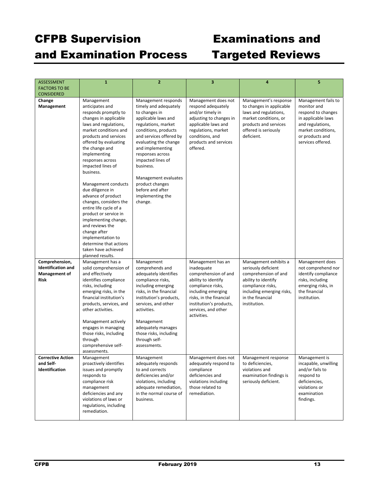| <b>ASSESSMENT</b>         | $\mathbf{1}$                                 | $\overline{2}$                         | 3                                                  | 4                                         | 5.                            |
|---------------------------|----------------------------------------------|----------------------------------------|----------------------------------------------------|-------------------------------------------|-------------------------------|
| <b>FACTORS TO BE</b>      |                                              |                                        |                                                    |                                           |                               |
| <b>CONSIDERED</b>         |                                              |                                        |                                                    |                                           |                               |
| Change                    | Management                                   | Management responds                    | Management does not                                | Management's response                     | Management fails to           |
| Management                | anticipates and                              | timely and adequately                  | respond adequately                                 | to changes in applicable                  | monitor and                   |
|                           | responds promptly to                         | to changes in                          | and/or timely in                                   | laws and regulations,                     | respond to changes            |
|                           | changes in applicable                        | applicable laws and                    | adjusting to changes in                            | market conditions, or                     | in applicable laws            |
|                           | laws and regulations,                        | regulations, market                    | applicable laws and                                | products and services                     | and regulations,              |
|                           | market conditions and                        | conditions, products                   | regulations, market                                | offered is seriously                      | market conditions,            |
|                           | products and services                        | and services offered by                | conditions, and                                    | deficient.                                | or products and               |
|                           | offered by evaluating                        | evaluating the change                  | products and services                              |                                           | services offered.             |
|                           | the change and<br>implementing               | and implementing<br>responses across   | offered.                                           |                                           |                               |
|                           | responses across                             | impacted lines of                      |                                                    |                                           |                               |
|                           | impacted lines of                            | business.                              |                                                    |                                           |                               |
|                           | business.                                    |                                        |                                                    |                                           |                               |
|                           |                                              | Management evaluates                   |                                                    |                                           |                               |
|                           | Management conducts                          | product changes                        |                                                    |                                           |                               |
|                           | due diligence in                             | before and after                       |                                                    |                                           |                               |
|                           | advance of product                           | implementing the                       |                                                    |                                           |                               |
|                           | changes, considers the                       | change.                                |                                                    |                                           |                               |
|                           | entire life cycle of a                       |                                        |                                                    |                                           |                               |
|                           | product or service in                        |                                        |                                                    |                                           |                               |
|                           | implementing change,                         |                                        |                                                    |                                           |                               |
|                           | and reviews the<br>change after              |                                        |                                                    |                                           |                               |
|                           | implementation to                            |                                        |                                                    |                                           |                               |
|                           | determine that actions                       |                                        |                                                    |                                           |                               |
|                           | taken have achieved                          |                                        |                                                    |                                           |                               |
|                           | planned results.                             |                                        |                                                    |                                           |                               |
| Comprehension,            | Management has a                             | Management                             | Management has an                                  | Management exhibits a                     | Management does               |
| <b>Identification and</b> | solid comprehension of                       | comprehends and                        | inadequate                                         | seriously deficient                       | not comprehend nor            |
| <b>Management of</b>      | and effectively                              | adequately identifies                  | comprehension of and                               | comprehension of and                      | identify compliance           |
| <b>Risk</b>               | identifies compliance                        | compliance risks,                      | ability to identify                                | ability to identify                       | risks, including              |
|                           | risks, including                             | including emerging                     | compliance risks,                                  | compliance risks,                         | emerging risks, in            |
|                           | emerging risks, in the                       | risks, in the financial                | including emerging                                 | including emerging risks,                 | the financial                 |
|                           | financial institution's                      | institution's products,                | risks, in the financial<br>institution's products, | in the financial<br>institution.          | institution.                  |
|                           | products, services, and<br>other activities. | services, and other<br>activities.     | services, and other                                |                                           |                               |
|                           |                                              |                                        | activities.                                        |                                           |                               |
|                           | Management actively                          | Management                             |                                                    |                                           |                               |
|                           | engages in managing                          | adequately manages                     |                                                    |                                           |                               |
|                           | those risks, including                       | those risks, including                 |                                                    |                                           |                               |
|                           | through                                      | through self-                          |                                                    |                                           |                               |
|                           | comprehensive self-                          | assessments.                           |                                                    |                                           |                               |
|                           | assessments.                                 |                                        |                                                    |                                           |                               |
| <b>Corrective Action</b>  | Management                                   | Management                             | Management does not                                | Management response                       | Management is                 |
| and Self-                 | proactively identifies                       | adequately responds<br>to and corrects | adequately respond to                              | to deficiencies,                          | incapable, unwilling          |
| Identification            | issues and promptly<br>responds to           | deficiencies and/or                    | compliance<br>deficiencies and                     | violations and<br>examination findings is | and/or fails to<br>respond to |
|                           | compliance risk                              | violations, including                  | violations including                               | seriously deficient.                      | deficiencies,                 |
|                           | management                                   | adequate remediation,                  | those related to                                   |                                           | violations or                 |
|                           | deficiencies and any                         | in the normal course of                | remediation.                                       |                                           | examination                   |
|                           | violations of laws or                        | business.                              |                                                    |                                           | findings.                     |
|                           | regulations, including                       |                                        |                                                    |                                           |                               |
|                           | remediation.                                 |                                        |                                                    |                                           |                               |
|                           |                                              |                                        |                                                    |                                           |                               |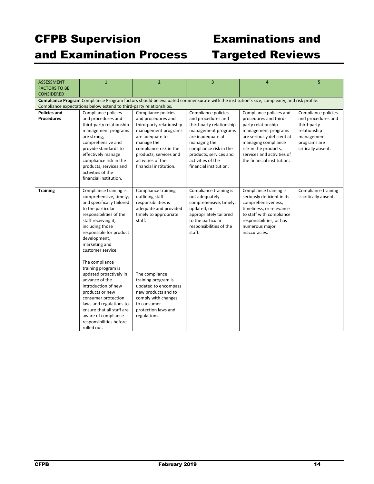## CFPB Supervision Examinations and

# and Examination Process Targeted Reviews

| <b>ASSESSMENT</b>    | $\mathbf{1}$                                                       | $\overline{2}$                               | 3                                     | 4                                                                                                                                         | 5                     |  |  |
|----------------------|--------------------------------------------------------------------|----------------------------------------------|---------------------------------------|-------------------------------------------------------------------------------------------------------------------------------------------|-----------------------|--|--|
| <b>FACTORS TO BE</b> |                                                                    |                                              |                                       |                                                                                                                                           |                       |  |  |
| <b>CONSIDERED</b>    |                                                                    |                                              |                                       |                                                                                                                                           |                       |  |  |
|                      |                                                                    |                                              |                                       | Compliance Program Compliance Program factors should be evaluated commensurate with the institution's size, complexity, and risk profile. |                       |  |  |
|                      | Compliance expectations below extend to third-party relationships. |                                              |                                       |                                                                                                                                           |                       |  |  |
| <b>Policies and</b>  | Compliance policies                                                | Compliance policies                          | Compliance policies                   | Compliance policies and                                                                                                                   | Compliance policies   |  |  |
| <b>Procedures</b>    | and procedures and                                                 | and procedures and                           | and procedures and                    | procedures and third-                                                                                                                     | and procedures and    |  |  |
|                      | third-party relationship                                           | third-party relationship                     | third-party relationship              | party relationship                                                                                                                        | third-party           |  |  |
|                      | management programs                                                | management programs                          | management programs                   | management programs                                                                                                                       | relationship          |  |  |
|                      | are strong,                                                        | are adequate to                              | are inadequate at                     | are seriously deficient at                                                                                                                | management            |  |  |
|                      | comprehensive and                                                  | manage the                                   | managing the                          | managing compliance                                                                                                                       | programs are          |  |  |
|                      | provide standards to                                               | compliance risk in the                       | compliance risk in the                | risk in the products,                                                                                                                     | critically absent.    |  |  |
|                      | effectively manage                                                 | products, services and                       | products, services and                | services and activities of                                                                                                                |                       |  |  |
|                      | compliance risk in the                                             | activities of the                            | activities of the                     | the financial institution.                                                                                                                |                       |  |  |
|                      | products, services and                                             | financial institution.                       | financial institution.                |                                                                                                                                           |                       |  |  |
|                      | activities of the                                                  |                                              |                                       |                                                                                                                                           |                       |  |  |
|                      | financial institution.                                             |                                              |                                       |                                                                                                                                           |                       |  |  |
|                      |                                                                    |                                              |                                       |                                                                                                                                           |                       |  |  |
| <b>Training</b>      | Compliance training is                                             | Compliance training                          | Compliance training is                | Compliance training is                                                                                                                    | Compliance training   |  |  |
|                      | comprehensive, timely,                                             | outlining staff                              | not adequately                        | seriously deficient in its                                                                                                                | is critically absent. |  |  |
|                      | and specifically tailored<br>to the particular                     | responsibilities is<br>adequate and provided | comprehensive, timely,<br>updated, or | comprehensiveness,<br>timeliness, or relevance                                                                                            |                       |  |  |
|                      | responsibilities of the                                            | timely to appropriate                        | appropriately tailored                | to staff with compliance                                                                                                                  |                       |  |  |
|                      | staff receiving it,                                                | staff.                                       | to the particular                     | responsibilities, or has                                                                                                                  |                       |  |  |
|                      | including those                                                    |                                              | responsibilities of the               | numerous major                                                                                                                            |                       |  |  |
|                      | responsible for product                                            |                                              | staff.                                | inaccuracies.                                                                                                                             |                       |  |  |
|                      | development,                                                       |                                              |                                       |                                                                                                                                           |                       |  |  |
|                      | marketing and                                                      |                                              |                                       |                                                                                                                                           |                       |  |  |
|                      | customer service.                                                  |                                              |                                       |                                                                                                                                           |                       |  |  |
|                      |                                                                    |                                              |                                       |                                                                                                                                           |                       |  |  |
|                      | The compliance                                                     |                                              |                                       |                                                                                                                                           |                       |  |  |
|                      | training program is                                                |                                              |                                       |                                                                                                                                           |                       |  |  |
|                      | updated proactively in                                             | The compliance                               |                                       |                                                                                                                                           |                       |  |  |
|                      | advance of the                                                     | training program is                          |                                       |                                                                                                                                           |                       |  |  |
|                      | introduction of new                                                | updated to encompass                         |                                       |                                                                                                                                           |                       |  |  |
|                      | products or new                                                    | new products and to                          |                                       |                                                                                                                                           |                       |  |  |
|                      | consumer protection                                                | comply with changes                          |                                       |                                                                                                                                           |                       |  |  |
|                      | laws and regulations to                                            | to consumer                                  |                                       |                                                                                                                                           |                       |  |  |
|                      | ensure that all staff are                                          | protection laws and                          |                                       |                                                                                                                                           |                       |  |  |
|                      | aware of compliance                                                | regulations.                                 |                                       |                                                                                                                                           |                       |  |  |
|                      | responsibilities before                                            |                                              |                                       |                                                                                                                                           |                       |  |  |
|                      | rolled out.                                                        |                                              |                                       |                                                                                                                                           |                       |  |  |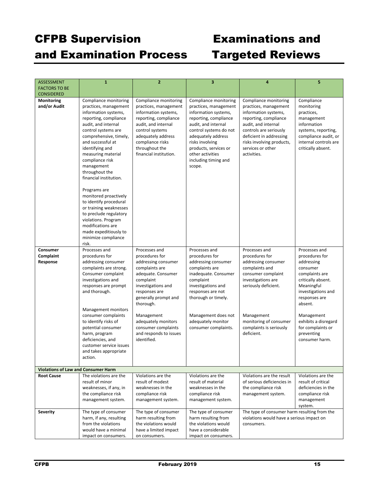| <b>ASSESSMENT</b><br><b>FACTORS TO BE</b>                       | $\mathbf{1}$                                   | $\overline{2}$                              | 3                                            | 4                                                                                         | 5                                           |  |  |
|-----------------------------------------------------------------|------------------------------------------------|---------------------------------------------|----------------------------------------------|-------------------------------------------------------------------------------------------|---------------------------------------------|--|--|
| <b>CONSIDERED</b>                                               |                                                |                                             |                                              |                                                                                           |                                             |  |  |
| Monitoring                                                      | Compliance monitoring                          | Compliance monitoring                       | Compliance monitoring                        | Compliance monitoring                                                                     | Compliance                                  |  |  |
| and/or Audit                                                    | practices, management                          | practices, management                       | practices, management                        | practices, management                                                                     | monitoring                                  |  |  |
|                                                                 | information systems,                           | information systems,                        | information systems,                         | information systems,                                                                      | practices,                                  |  |  |
|                                                                 | reporting, compliance                          | reporting, compliance                       | reporting, compliance                        | reporting, compliance                                                                     | management                                  |  |  |
|                                                                 | audit, and internal                            | audit, and internal                         | audit, and internal                          | audit, and internal                                                                       | information                                 |  |  |
|                                                                 | control systems are<br>comprehensive, timely,  | control systems<br>adequately address       | control systems do not<br>adequately address | controls are seriously<br>deficient in addressing                                         | systems, reporting,<br>compliance audit, or |  |  |
|                                                                 | and successful at                              | compliance risks                            | risks involving                              | risks involving products,                                                                 | internal controls are                       |  |  |
|                                                                 | identifying and                                | throughout the                              | products, services or                        | services or other                                                                         | critically absent.                          |  |  |
|                                                                 | measuring material                             | financial institution.                      | other activities                             | activities.                                                                               |                                             |  |  |
|                                                                 | compliance risk                                |                                             | including timing and                         |                                                                                           |                                             |  |  |
|                                                                 | management                                     |                                             | scope.                                       |                                                                                           |                                             |  |  |
|                                                                 | throughout the<br>financial institution.       |                                             |                                              |                                                                                           |                                             |  |  |
|                                                                 |                                                |                                             |                                              |                                                                                           |                                             |  |  |
|                                                                 | Programs are                                   |                                             |                                              |                                                                                           |                                             |  |  |
|                                                                 | monitored proactively                          |                                             |                                              |                                                                                           |                                             |  |  |
|                                                                 | to identify procedural                         |                                             |                                              |                                                                                           |                                             |  |  |
|                                                                 | or training weaknesses                         |                                             |                                              |                                                                                           |                                             |  |  |
|                                                                 | to preclude regulatory<br>violations. Program  |                                             |                                              |                                                                                           |                                             |  |  |
|                                                                 | modifications are                              |                                             |                                              |                                                                                           |                                             |  |  |
|                                                                 | made expeditiously to                          |                                             |                                              |                                                                                           |                                             |  |  |
|                                                                 | minimize compliance                            |                                             |                                              |                                                                                           |                                             |  |  |
|                                                                 | risk.                                          |                                             |                                              |                                                                                           |                                             |  |  |
| Consumer                                                        | Processes and                                  | Processes and                               | Processes and                                | Processes and                                                                             | Processes and                               |  |  |
| Complaint<br>Response                                           | procedures for<br>addressing consumer          | procedures for<br>addressing consumer       | procedures for<br>addressing consumer        | procedures for<br>addressing consumer                                                     | procedures for<br>addressing                |  |  |
|                                                                 | complaints are strong.                         | complaints are                              | complaints are                               | complaints and                                                                            | consumer                                    |  |  |
|                                                                 | Consumer complaint                             | adequate. Consumer                          | inadequate. Consumer                         | consumer complaint                                                                        | complaints are                              |  |  |
|                                                                 | investigations and                             | complaint                                   | complaint                                    | investigations are                                                                        | critically absent.                          |  |  |
|                                                                 | responses are prompt                           | investigations and                          | investigations and                           | seriously deficient.                                                                      | Meaningful                                  |  |  |
|                                                                 | and thorough.                                  | responses are                               | responses are not                            |                                                                                           | investigations and                          |  |  |
|                                                                 |                                                | generally prompt and<br>thorough.           | thorough or timely.                          |                                                                                           | responses are<br>absent.                    |  |  |
|                                                                 | Management monitors                            |                                             |                                              |                                                                                           |                                             |  |  |
|                                                                 | consumer complaints                            | Management                                  | Management does not                          | Management                                                                                | Management                                  |  |  |
|                                                                 | to identify risks of                           | adequately monitors                         | adequately monitor                           | monitoring of consumer                                                                    | exhibits a disregard                        |  |  |
|                                                                 | potential consumer                             | consumer complaints                         | consumer complaints.                         | complaints is seriously                                                                   | for complaints or                           |  |  |
|                                                                 | harm, program                                  | and responds to issues                      |                                              | deficient.                                                                                | preventing                                  |  |  |
|                                                                 | deficiencies, and<br>customer service issues   | identified.                                 |                                              |                                                                                           | consumer harm.                              |  |  |
|                                                                 | and takes appropriate                          |                                             |                                              |                                                                                           |                                             |  |  |
|                                                                 | action.                                        |                                             |                                              |                                                                                           |                                             |  |  |
|                                                                 |                                                |                                             |                                              |                                                                                           |                                             |  |  |
| <b>Violations of Law and Consumer Harm</b><br><b>Root Cause</b> | The violations are the                         | Violations are the                          | Violations are the                           | Violations are the result                                                                 | Violations are the                          |  |  |
|                                                                 | result of minor                                | result of modest                            | result of material                           | of serious deficiencies in                                                                | result of critical                          |  |  |
|                                                                 | weaknesses, if any, in                         | weaknesses in the                           | weaknesses in the                            | the compliance risk                                                                       | deficiencies in the                         |  |  |
|                                                                 | the compliance risk                            | compliance risk                             | compliance risk                              | management system.                                                                        | compliance risk                             |  |  |
|                                                                 | management system.                             | management system.                          | management system.                           |                                                                                           | management                                  |  |  |
|                                                                 |                                                |                                             |                                              |                                                                                           | system.                                     |  |  |
| Severity                                                        | The type of consumer                           | The type of consumer                        | The type of consumer                         | The type of consumer harm resulting from the<br>violations would have a serious impact on |                                             |  |  |
|                                                                 | harm, if any, resulting<br>from the violations | harm resulting from<br>the violations would | harm resulting from<br>the violations would  | consumers.                                                                                |                                             |  |  |
|                                                                 | would have a minimal                           | have a limited impact                       | have a considerable                          |                                                                                           |                                             |  |  |
|                                                                 | impact on consumers.                           | on consumers.                               | impact on consumers.                         |                                                                                           |                                             |  |  |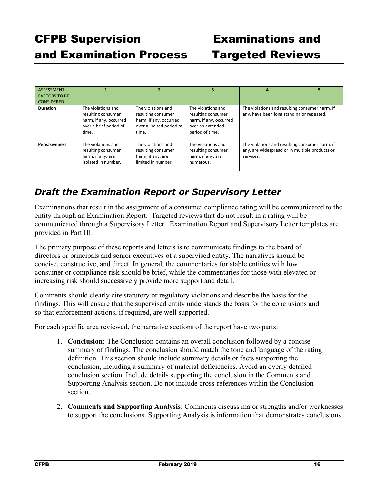| <b>ASSESSMENT</b><br><b>FACTORS TO BE</b><br><b>CONSIDERED</b> |                                                                                                       |                                                                                                         | 3                                                                                                         | 4                                                                                                             | 5 |
|----------------------------------------------------------------|-------------------------------------------------------------------------------------------------------|---------------------------------------------------------------------------------------------------------|-----------------------------------------------------------------------------------------------------------|---------------------------------------------------------------------------------------------------------------|---|
| <b>Duration</b>                                                | The violations and<br>resulting consumer<br>harm, if any, occurred<br>over a brief period of<br>time. | The violations and<br>resulting consumer<br>harm, if any, occurred<br>over a limited period of<br>time. | The violations and<br>resulting consumer<br>harm, if any, occurred<br>over an extended<br>period of time. | The violations and resulting consumer harm, if<br>any, have been long standing or repeated.                   |   |
| <b>Pervasiveness</b>                                           | The violations and<br>resulting consumer<br>harm, if any, are<br>isolated in number.                  | The violations and<br>resulting consumer<br>harm, if any, are<br>limited in number.                     | The violations and<br>resulting consumer<br>harm, if any, are<br>numerous.                                | The violations and resulting consumer harm, if<br>any, are widespread or in multiple products or<br>services. |   |

## *Draft the Examination Report or Supervisory Letter*

Examinations that result in the assignment of a consumer compliance rating will be communicated to the entity through an Examination Report. Targeted reviews that do not result in a rating will be communicated through a Supervisory Letter. Examination Report and Supervisory Letter templates are provided in Part III.

The primary purpose of these reports and letters is to communicate findings to the board of directors or principals and senior executives of a supervised entity. The narratives should be concise, constructive, and direct. In general, the commentaries for stable entities with low consumer or compliance risk should be brief, while the commentaries for those with elevated or increasing risk should successively provide more support and detail.

Comments should clearly cite statutory or regulatory violations and describe the basis for the findings. This will ensure that the supervised entity understands the basis for the conclusions and so that enforcement actions, if required, are well supported.

For each specific area reviewed, the narrative sections of the report have two parts:

- 1. **Conclusion:** The Conclusion contains an overall conclusion followed by a concise summary of findings. The conclusion should match the tone and language of the rating definition. This section should include summary details or facts supporting the conclusion, including a summary of material deficiencies. Avoid an overly detailed conclusion section. Include details supporting the conclusion in the Comments and Supporting Analysis section. Do not include cross-references within the Conclusion section.
- 2. **Comments and Supporting Analysis**: Comments discuss major strengths and/or weaknesses to support the conclusions. Supporting Analysis is information that demonstrates conclusions.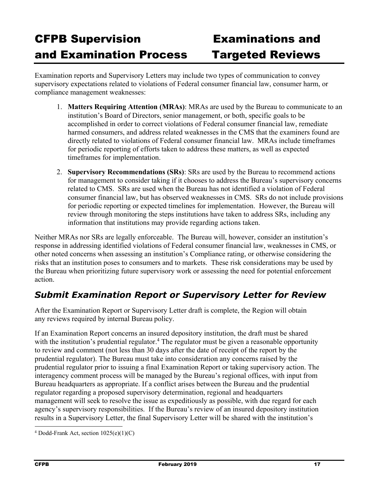Examination reports and Supervisory Letters may include two types of communication to convey supervisory expectations related to violations of Federal consumer financial law, consumer harm, or compliance management weaknesses:

- 1. **Matters Requiring Attention (MRAs)**: MRAs are used by the Bureau to communicate to an institution's Board of Directors, senior management, or both, specific goals to be accomplished in order to correct violations of Federal consumer financial law, remediate harmed consumers, and address related weaknesses in the CMS that the examiners found are directly related to violations of Federal consumer financial law. MRAs include timeframes for periodic reporting of efforts taken to address these matters, as well as expected timeframes for implementation.
- 2. **Supervisory Recommendations (SRs)**: SRs are used by the Bureau to recommend actions for management to consider taking if it chooses to address the Bureau's supervisory concerns related to CMS. SRs are used when the Bureau has not identified a violation of Federal consumer financial law, but has observed weaknesses in CMS. SRs do not include provisions for periodic reporting or expected timelines for implementation. However, the Bureau will review through monitoring the steps institutions have taken to address SRs, including any information that institutions may provide regarding actions taken.

Neither MRAs nor SRs are legally enforceable. The Bureau will, however, consider an institution's response in addressing identified violations of Federal consumer financial law, weaknesses in CMS, or other noted concerns when assessing an institution's Compliance rating, or otherwise considering the risks that an institution poses to consumers and to markets. These risk considerations may be used by the Bureau when prioritizing future supervisory work or assessing the need for potential enforcement action.

## *Submit Examination Report or Supervisory Letter for Review*

After the Examination Report or Supervisory Letter draft is complete, the Region will obtain any reviews required by internal Bureau policy.

If an Examination Report concerns an insured depository institution, the draft must be shared with the institution's prudential regulator.<sup>4</sup> The regulator must be given a reasonable opportunity to review and comment (not less than 30 days after the date of receipt of the report by the prudential regulator). The Bureau must take into consideration any concerns raised by the prudential regulator prior to issuing a final Examination Report or taking supervisory action. The interagency comment process will be managed by the Bureau's regional offices, with input from Bureau headquarters as appropriate. If a conflict arises between the Bureau and the prudential regulator regarding a proposed supervisory determination, regional and headquarters management will seek to resolve the issue as expeditiously as possible, with due regard for each agency's supervisory responsibilities. If the Bureau's review of an insured depository institution results in a Supervisory Letter, the final Supervisory Letter will be shared with the institution's

<sup>4</sup> Dodd-Frank Act, section 1025(e)(1)(C)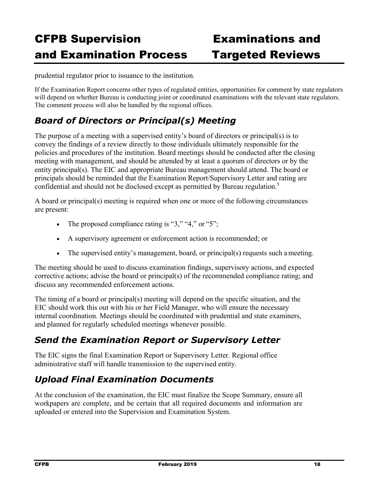prudential regulator prior to issuance to the institution.

If the Examination Report concerns other types of regulated entities, opportunities for comment by state regulators will depend on whether Bureau is conducting joint or coordinated examinations with the relevant state regulators. The comment process will also be handled by the regional offices.

## *Board of Directors or Principal(s) Meeting*

The purpose of a meeting with a supervised entity's board of directors or principal(s) is to convey the findings of a review directly to those individuals ultimately responsible for the policies and procedures of the institution. Board meetings should be conducted after the closing meeting with management, and should be attended by at least a quorum of directors or by the entity principal(s). The EIC and appropriate Bureau management should attend. The board or principals should be reminded that the Examination Report/Supervisory Letter and rating are confidential and should not be disclosed except as permitted by Bureau regulation.<sup>5</sup>

A board or principal(s) meeting is required when one or more of the following circumstances are present:

- The proposed compliance rating is " $3$ ," " $4$ ," or " $5$ ";
- A supervisory agreement or enforcement action is recommended; or
- $\bullet$  The supervised entity's management, board, or principal(s) requests such a meeting.

The meeting should be used to discuss examination findings, supervisory actions, and expected corrective actions; advise the board or principal(s) of the recommended compliance rating; and discuss any recommended enforcement actions.

The timing of a board or principal(s) meeting will depend on the specific situation, and the EIC should work this out with his or her Field Manager, who will ensure the necessary internal coordination. Meetings should be coordinated with prudential and state examiners, and planned for regularly scheduled meetings whenever possible.

## *Send the Examination Report or Supervisory Letter*

The EIC signs the final Examination Report or Supervisory Letter. Regional office administrative staff will handle transmission to the supervised entity.

## *Upload Final Examination Documents*

At the conclusion of the examination, the EIC must finalize the Scope Summary, ensure all workpapers are complete, and be certain that all required documents and information are uploaded or entered into the Supervision and Examination System.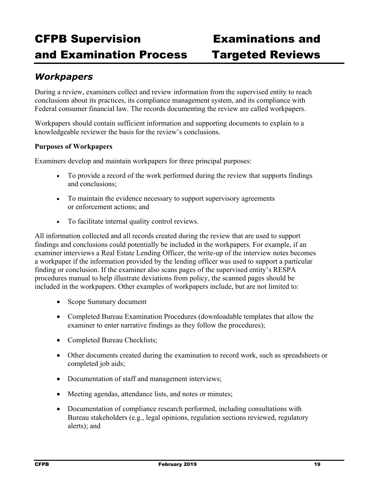## *Workpapers*

During a review, examiners collect and review information from the supervised entity to reach conclusions about its practices, its compliance management system, and its compliance with Federal consumer financial law. The records documenting the review are called workpapers.

Workpapers should contain sufficient information and supporting documents to explain to a knowledgeable reviewer the basis for the review's conclusions.

### **Purposes of Workpapers**

Examiners develop and maintain workpapers for three principal purposes:

- To provide a record of the work performed during the review that supports findings and conclusions;
- To maintain the evidence necessary to support supervisory agreements or enforcement actions; and
- To facilitate internal quality control reviews.

All information collected and all records created during the review that are used to support findings and conclusions could potentially be included in the workpapers. For example, if an examiner interviews a Real Estate Lending Officer, the write-up of the interview notes becomes a workpaper if the information provided by the lending officer was used to support a particular finding or conclusion. If the examiner also scans pages of the supervised entity's RESPA procedures manual to help illustrate deviations from policy, the scanned pages should be included in the workpapers. Other examples of workpapers include, but are not limited to:

- Scope Summary document
- Completed Bureau Examination Procedures (downloadable templates that allow the examiner to enter narrative findings as they follow the procedures);
- Completed Bureau Checklists;
- Other documents created during the examination to record work, such as spreadsheets or completed job aids;
- Documentation of staff and management interviews;
- Meeting agendas, attendance lists, and notes or minutes;
- Documentation of compliance research performed, including consultations with Bureau stakeholders (e.g., legal opinions, regulation sections reviewed, regulatory alerts); and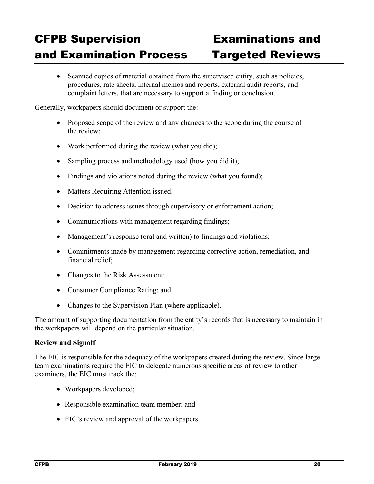• Scanned copies of material obtained from the supervised entity, such as policies, procedures, rate sheets, internal memos and reports, external audit reports, and complaint letters, that are necessary to support a finding or conclusion.

Generally, workpapers should document or support the:

- Proposed scope of the review and any changes to the scope during the course of the review;
- Work performed during the review (what you did);
- Sampling process and methodology used (how you did it);
- Findings and violations noted during the review (what you found);
- Matters Requiring Attention issued;
- Decision to address issues through supervisory or enforcement action;
- Communications with management regarding findings;
- Management's response (oral and written) to findings and violations;
- Commitments made by management regarding corrective action, remediation, and financial relief;
- Changes to the Risk Assessment;
- Consumer Compliance Rating; and
- Changes to the Supervision Plan (where applicable).

The amount of supporting documentation from the entity's records that is necessary to maintain in the workpapers will depend on the particular situation.

### **Review and Signoff**

The EIC is responsible for the adequacy of the workpapers created during the review. Since large team examinations require the EIC to delegate numerous specific areas of review to other examiners, the EIC must track the:

- Workpapers developed;
- Responsible examination team member; and
- EIC's review and approval of the workpapers.